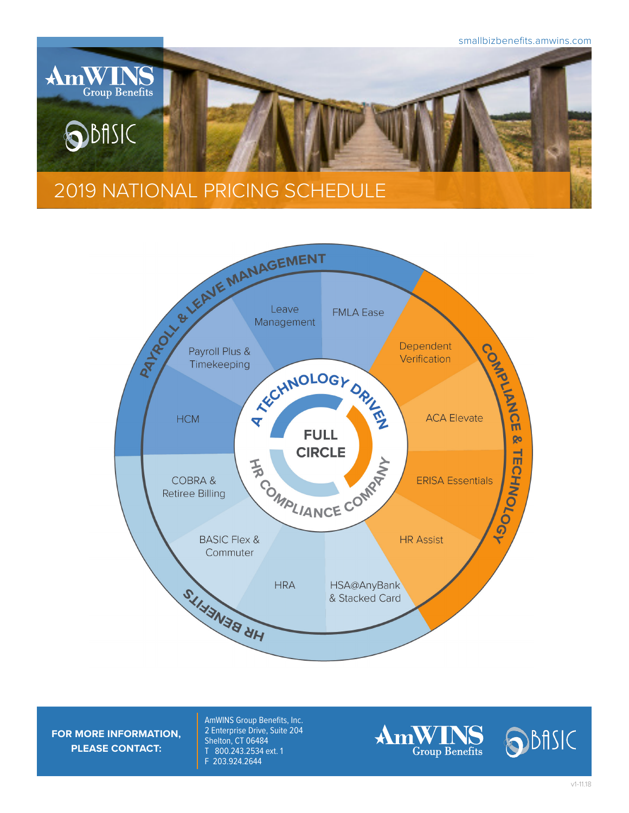



**FOR MORE INFORMATION, PLEASE CONTACT:**

AmWINS Group Benefits, Inc. 2 Enterprise Drive, Suite 204 Shelton, CT 06484 T 800.243.2534 ext. 1 F 203.924.2644

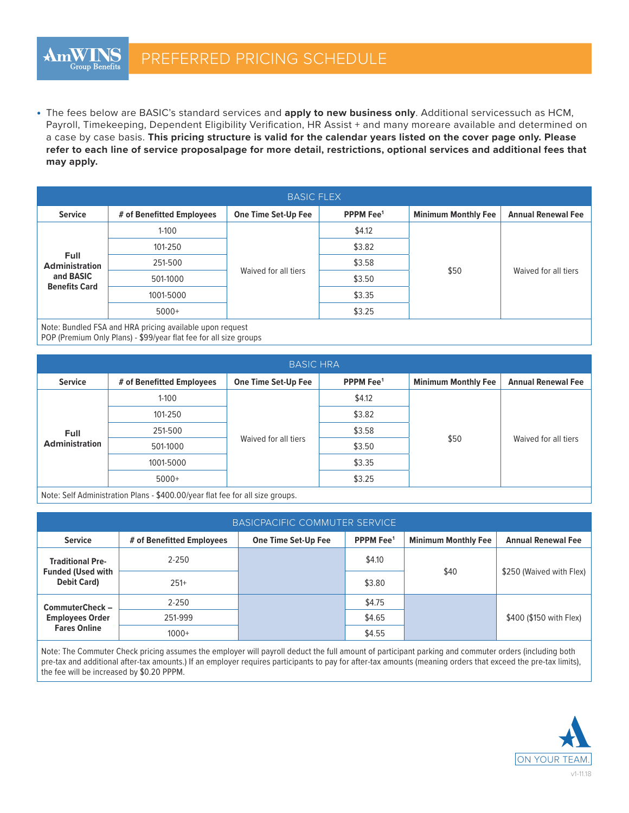• The fees below are BASIC's standard services and **apply to new business only**. Additional servicessuch as HCM, Payroll, Timekeeping, Dependent Eligibility Verification, HR Assist + and many moreare available and determined on a case by case basis. **This pricing structure is valid for the calendar years listed on the cover page only. Please refer to each line of service proposalpage for more detail, restrictions, optional services and additional fees that may apply.**

| <b>BASIC FLEX</b>                    |                           |                      |                       |                            |                           |  |  |
|--------------------------------------|---------------------------|----------------------|-----------------------|----------------------------|---------------------------|--|--|
| <b>Service</b>                       | # of Benefitted Employees | One Time Set-Up Fee  | PPPM Fee <sup>1</sup> | <b>Minimum Monthly Fee</b> | <b>Annual Renewal Fee</b> |  |  |
|                                      | $1 - 100$                 | Waived for all tiers | \$4.12                | \$50                       | Waived for all tiers      |  |  |
|                                      | 101-250                   |                      | \$3.82                |                            |                           |  |  |
| <b>Full</b><br><b>Administration</b> | 251-500                   |                      | \$3.58                |                            |                           |  |  |
| and BASIC<br><b>Benefits Card</b>    | 501-1000                  |                      | \$3.50                |                            |                           |  |  |
|                                      | 1001-5000                 |                      | \$3.35                |                            |                           |  |  |
|                                      | $5000+$                   |                      | \$3.25                |                            |                           |  |  |

Note: Bundled FSA and HRA pricing available upon request

POP (Premium Only Plans) - \$99/year flat fee for all size groups

| <b>BASIC HRA</b>              |                           |                            |                       |                            |                           |  |  |
|-------------------------------|---------------------------|----------------------------|-----------------------|----------------------------|---------------------------|--|--|
| <b>Service</b>                | # of Benefitted Employees | <b>One Time Set-Up Fee</b> | PPPM Fee <sup>1</sup> | <b>Minimum Monthly Fee</b> | <b>Annual Renewal Fee</b> |  |  |
| Full<br><b>Administration</b> | $1 - 100$                 | Waived for all tiers       | \$4.12                |                            | Waived for all tiers      |  |  |
|                               | 101-250                   |                            | \$3.82                | \$50                       |                           |  |  |
|                               | 251-500                   |                            | \$3.58                |                            |                           |  |  |
|                               | 501-1000                  |                            | \$3.50                |                            |                           |  |  |
|                               | 1001-5000                 |                            | \$3.35                |                            |                           |  |  |
|                               | $5000+$                   |                            | \$3.25                |                            |                           |  |  |

Note: Self Administration Plans - \$400.00/year flat fee for all size groups.

| <b>BASICPACIFIC COMMUTER SERVICE</b>                                      |                           |                            |                       |                            |                           |  |  |
|---------------------------------------------------------------------------|---------------------------|----------------------------|-----------------------|----------------------------|---------------------------|--|--|
| <b>Service</b>                                                            | # of Benefitted Employees | <b>One Time Set-Up Fee</b> | PPPM Fee <sup>1</sup> | <b>Minimum Monthly Fee</b> | <b>Annual Renewal Fee</b> |  |  |
| <b>Traditional Pre-</b><br><b>Funded (Used with</b><br><b>Debit Card)</b> | $2 - 250$                 |                            | \$4.10                |                            |                           |  |  |
|                                                                           | $251+$                    |                            | \$3.80                | \$40                       | \$250 (Waived with Flex)  |  |  |
| CommuterCheck -<br><b>Employees Order</b><br><b>Fares Online</b>          | $2 - 250$                 |                            | \$4.75                |                            |                           |  |  |
|                                                                           | 251-999                   |                            | \$4.65                |                            | \$400 (\$150 with Flex)   |  |  |
|                                                                           | $1000+$                   |                            | \$4.55                |                            |                           |  |  |

Note: The Commuter Check pricing assumes the employer will payroll deduct the full amount of participant parking and commuter orders (including both pre-tax and additional after-tax amounts.) If an employer requires participants to pay for after-tax amounts (meaning orders that exceed the pre-tax limits), the fee will be increased by \$0.20 PPPM.

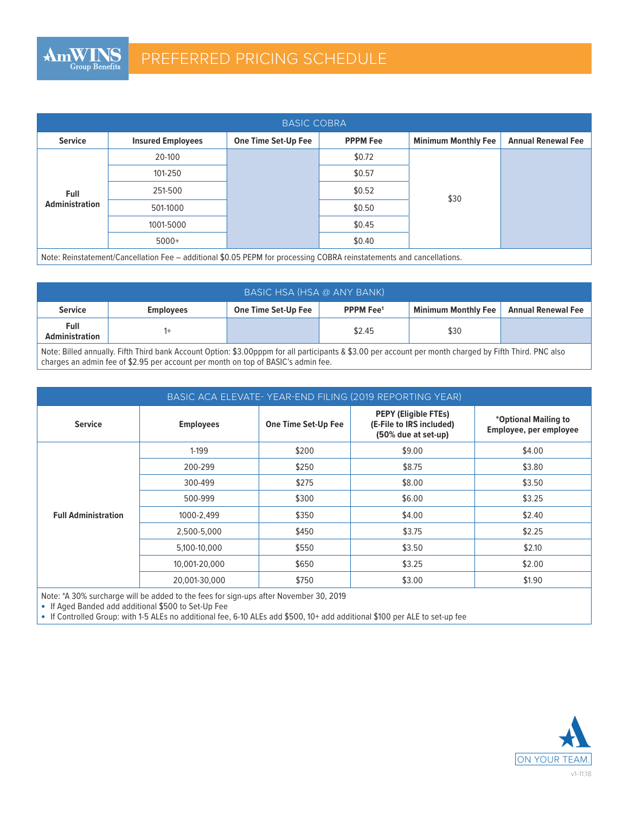| <b>BASIC COBRA</b>                   |                          |                     |                 |                            |                           |  |
|--------------------------------------|--------------------------|---------------------|-----------------|----------------------------|---------------------------|--|
| <b>Service</b>                       | <b>Insured Employees</b> | One Time Set-Up Fee | <b>PPPM Fee</b> | <b>Minimum Monthly Fee</b> | <b>Annual Renewal Fee</b> |  |
|                                      | 20-100                   |                     | \$0.72          |                            |                           |  |
| <b>Full</b><br><b>Administration</b> | 101-250                  |                     | \$0.57          |                            |                           |  |
|                                      | 251-500                  |                     | \$0.52          | \$30                       |                           |  |
|                                      | 501-1000                 |                     | \$0.50          |                            |                           |  |
|                                      | 1001-5000                |                     | \$0.45          |                            |                           |  |
|                                      | $5000+$                  |                     | \$0.40          |                            |                           |  |

Note: Reinstatement/Cancellation Fee – additional \$0.05 PEPM for processing COBRA reinstatements and cancellations.

| BASIC HSA (HSA @ ANY BANK)    |                  |                     |                             |                            |                           |  |  |
|-------------------------------|------------------|---------------------|-----------------------------|----------------------------|---------------------------|--|--|
| <b>Service</b>                | <b>Employees</b> | One Time Set-Up Fee | <b>PPPM Fee<sup>1</sup></b> | <b>Minimum Monthly Fee</b> | <b>Annual Renewal Fee</b> |  |  |
| Full<br><b>Administration</b> |                  |                     | \$2.45                      | \$30                       |                           |  |  |

Note: Billed annually. Fifth Third bank Account Option: \$3.00pppm for all participants & \$3.00 per account per month charged by Fifth Third. PNC also charges an admin fee of \$2.95 per account per month on top of BASIC's admin fee.

| BASIC ACA ELEVATE-YEAR-END FILING (2019 REPORTING YEAR) |                  |                            |                                                                                |                                                |  |  |
|---------------------------------------------------------|------------------|----------------------------|--------------------------------------------------------------------------------|------------------------------------------------|--|--|
| <b>Service</b>                                          | <b>Employees</b> | <b>One Time Set-Up Fee</b> | <b>PEPY (Eligible FTEs)</b><br>(E-File to IRS included)<br>(50% due at set-up) | *Optional Mailing to<br>Employee, per employee |  |  |
|                                                         | 1-199            | \$200                      | \$9.00                                                                         | \$4.00                                         |  |  |
|                                                         | 200-299          | \$250                      | \$8.75                                                                         | \$3.80                                         |  |  |
|                                                         | 300-499          | \$275                      | \$8.00                                                                         | \$3.50                                         |  |  |
|                                                         | 500-999          | \$300                      | \$6.00                                                                         | \$3.25                                         |  |  |
| <b>Full Administration</b>                              | 1000-2,499       | \$350                      | \$4.00                                                                         | \$2.40                                         |  |  |
|                                                         | 2,500-5,000      | \$450                      | \$3.75                                                                         | \$2.25                                         |  |  |
|                                                         | 5,100-10,000     | \$550                      | \$3.50                                                                         | \$2.10                                         |  |  |
|                                                         | 10,001-20,000    | \$650                      | \$3.25                                                                         | \$2.00                                         |  |  |
|                                                         | 20.001-30.000    | \$750                      | \$3.00                                                                         | \$1.90                                         |  |  |

Note: \*A 30% surcharge will be added to the fees for sign-ups after November 30, 2019

• If Aged Banded add additional \$500 to Set-Up Fee

• If Controlled Group: with 1-5 ALEs no additional fee, 6-10 ALEs add \$500, 10+ add additional \$100 per ALE to set-up fee

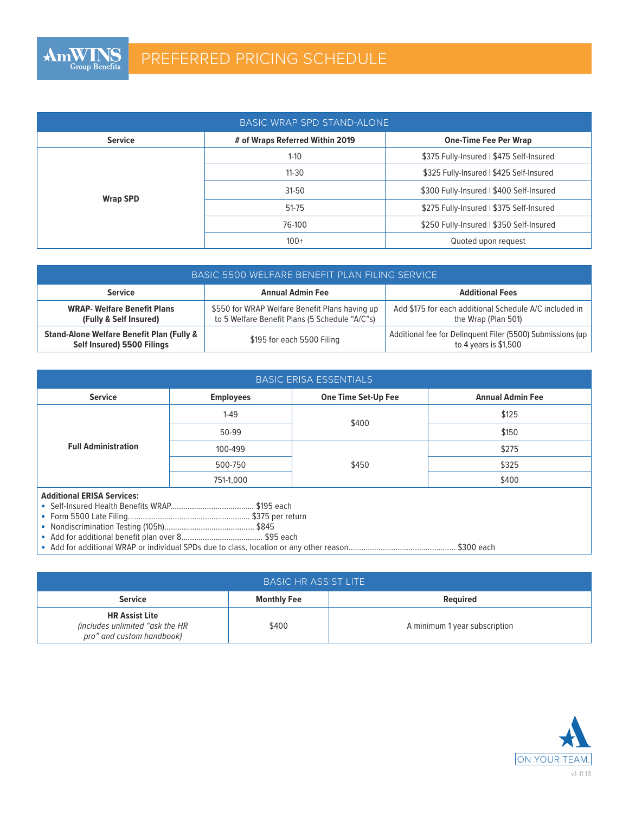| BASIC WRAP SPD STAND-ALONE |                              |                                          |  |  |  |  |
|----------------------------|------------------------------|------------------------------------------|--|--|--|--|
| <b>Service</b>             | <b>One-Time Fee Per Wrap</b> |                                          |  |  |  |  |
| <b>Wrap SPD</b>            | $1 - 10$                     | \$375 Fully-Insured   \$475 Self-Insured |  |  |  |  |
|                            | $11 - 30$                    | \$325 Fully-Insured   \$425 Self-Insured |  |  |  |  |
|                            | $31-50$                      | \$300 Fully-Insured   \$400 Self-Insured |  |  |  |  |
|                            | 51-75                        | \$275 Fully-Insured   \$375 Self-Insured |  |  |  |  |
|                            | 76-100                       | \$250 Fully-Insured   \$350 Self-Insured |  |  |  |  |
|                            | $100+$                       | Quoted upon request                      |  |  |  |  |

| BASIC 5500 WELFARE BENEFIT PLAN FILING SERVICE                                     |                                                                                                  |                                                                                     |  |  |  |
|------------------------------------------------------------------------------------|--------------------------------------------------------------------------------------------------|-------------------------------------------------------------------------------------|--|--|--|
| <b>Service</b>                                                                     | <b>Annual Admin Fee</b>                                                                          | <b>Additional Fees</b>                                                              |  |  |  |
| <b>WRAP- Welfare Benefit Plans</b><br>(Fully & Self Insured)                       | \$550 for WRAP Welfare Benefit Plans having up<br>to 5 Welfare Benefit Plans (5 Schedule "A/C"s) | Add \$175 for each additional Schedule A/C included in<br>the Wrap (Plan 501)       |  |  |  |
| <b>Stand-Alone Welfare Benefit Plan (Fully &amp;</b><br>Self Insured) 5500 Filings | \$195 for each 5500 Filing                                                                       | Additional fee for Delinquent Filer (5500) Submissions (up<br>to 4 years is \$1,500 |  |  |  |

| <b>BASIC ERISA ESSENTIALS</b>     |                  |                            |                         |  |  |  |
|-----------------------------------|------------------|----------------------------|-------------------------|--|--|--|
| <b>Service</b>                    | <b>Employees</b> | <b>One Time Set-Up Fee</b> | <b>Annual Admin Fee</b> |  |  |  |
| <b>Full Administration</b>        | $1 - 49$         | \$400                      | \$125                   |  |  |  |
|                                   | 50-99            |                            | \$150                   |  |  |  |
|                                   | 100-499          |                            | \$275                   |  |  |  |
|                                   | 500-750          | \$450                      | \$325                   |  |  |  |
|                                   | 751-1.000        |                            | \$400                   |  |  |  |
| <b>Additional ERISA Services:</b> |                  |                            |                         |  |  |  |
|                                   |                  |                            |                         |  |  |  |
|                                   |                  |                            |                         |  |  |  |
|                                   |                  |                            |                         |  |  |  |
|                                   |                  |                            |                         |  |  |  |
|                                   |                  |                            |                         |  |  |  |

| <b>BASIC HR ASSIST LITE</b>                                                           |                    |                               |  |  |  |
|---------------------------------------------------------------------------------------|--------------------|-------------------------------|--|--|--|
| <b>Service</b>                                                                        | <b>Monthly Fee</b> | <b>Required</b>               |  |  |  |
| <b>HR Assist Lite</b><br>(includes unlimited "ask the HR<br>pro" and custom handbook) | \$400              | A minimum 1 year subscription |  |  |  |